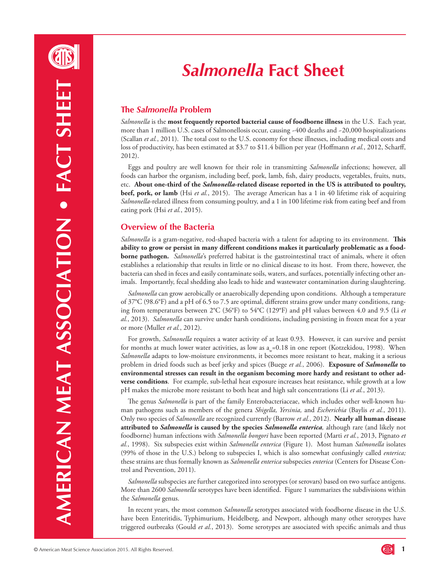# *Salmonella* **Fact Sheet**

# **The** *Salmonella* **Problem**

*Salmonella* is the **most frequently reported bacterial cause of foodborne illness** in the U.S. Each year, more than 1 million U.S. cases of Salmonellosis occur, causing ~400 deaths and ~20,000 hospitalizations (Scallan *et al.*, 2011). The total cost to the U.S. economy for these illnesses, including medical costs and loss of productivity, has been estimated at \$3.7 to \$11.4 billion per year (Hoffmann *et al.*, 2012, Scharff, 2012).

Eggs and poultry are well known for their role in transmitting *Salmonella* infections; however, all foods can harbor the organism, including beef, pork, lamb, fish, dairy products, vegetables, fruits, nuts, etc. **About one-third of the** *Salmonella***-related disease reported in the US is attributed to poultry, beef, pork, or lamb** (Hsi *et al.*, 2015). The average American has a 1 in 40 lifetime risk of acquiring *Salmonella*-related illness from consuming poultry, and a 1 in 100 lifetime risk from eating beef and from eating pork (Hsi *et al.*, 2015).

# **Overview of the Bacteria**

*Salmonella* is a gram-negative, rod-shaped bacteria with a talent for adapting to its environment. **This ability to grow or persist in many different conditions makes it particularly problematic as a foodborne pathogen.** *Salmonella*'s preferred habitat is the gastrointestinal tract of animals, where it often establishes a relationship that results in little or no clinical disease to its host. From there, however, the bacteria can shed in feces and easily contaminate soils, waters, and surfaces, potentially infecting other animals. Importantly, fecal shedding also leads to hide and wastewater contamination during slaughtering.

*Salmonella* can grow aerobically or anaerobically depending upon conditions. Although a temperature of 37°C (98.6°F) and a pH of 6.5 to 7.5 are optimal, different strains grow under many conditions, ranging from temperatures between 2°C (36°F) to 54°C (129°F) and pH values between 4.0 and 9.5 (Li *et al.*, 2013). *Salmonella* can survive under harsh conditions, including persisting in frozen meat for a year or more (Muller *et al.*, 2012).

For growth, *Salmonella* requires a water activity of at least 0.93. However, it can survive and persist for months at much lower water activities, as low as  $a_w=0.18$  in one report (Kotzekidou, 1998). When *Salmonella* adapts to low-moisture environments, it becomes more resistant to heat, making it a serious problem in dried foods such as beef jerky and spices (Buege *et al.*, 2006). **Exposure of** *Salmonella* **to environmental stresses can result in the organism becoming more hardy and resistant to other adverse conditions**. For example, sub-lethal heat exposure increases heat resistance, while growth at a low pH makes the microbe more resistant to both heat and high salt concentrations (Li *et al.*, 2013).

The genus *Salmonella* is part of the family Enterobacteriaceae, which includes other well-known human pathogens such as members of the genera *Shigella, Yersinia,* and *Escherichia* (Baylis *et al.*, 2011). Only two species of *Salmonella* are recognized currently (Barrow *et al.*, 2012). **Nearly all human disease attributed to** *Salmonella* **is caused by the species** *Salmonella enterica,* although rare (and likely not foodborne) human infections with *Salmonella bongori* have been reported (Marti *et al.*, 2013, Pignato *et al.*, 1998). Six subspecies exist within *Salmonella enterica* (Figure 1). Most human *Salmonella* isolates (99% of those in the U.S.) belong to subspecies I, which is also somewhat confusingly called *enterica;*  these strains are thus formally known as *Salmonella enterica* subspecies *enterica* (Centers for Disease Control and Prevention, 2011).

*Salmonella* subspecies are further categorized into serotypes (or serovars) based on two surface antigens. More than 2600 *Salmonella* serotypes have been identified. Figure 1 summarizes the subdivisions within the *Salmonella* genus.

In recent years, the most common *Salmonella* serotypes associated with foodborne disease in the U.S. have been Enteritidis, Typhimurium, Heidelberg, and Newport, although many other serotypes have triggered outbreaks (Gould *et al.*, 2013). Some serotypes are associated with specific animals and thus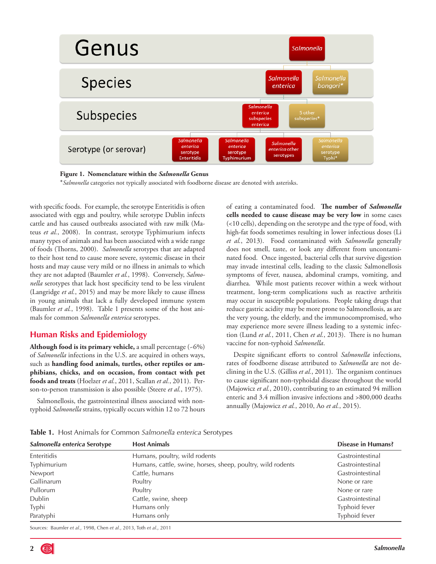

**Figure 1. Nomenclature within the** *Salmonella* **Genus**

\**Salmonella* categories not typically associated with foodborne disease are denoted with asterisks.

with specific foods. For example, the serotype Enteritidis is often associated with eggs and poultry, while serotype Dublin infects cattle and has caused outbreaks associated with raw milk (Mateus *et al.*, 2008). In contrast, serotype Typhimurium infects many types of animals and has been associated with a wide range of foods (Thorns, 2000). *Salmonella* serotypes that are adapted to their host tend to cause more severe, systemic disease in their hosts and may cause very mild or no illness in animals to which they are not adapted (Baumler *et al.*, 1998). Conversely, *Salmonella* serotypes that lack host specificity tend to be less virulent (Langridge *et al.*, 2015) and may be more likely to cause illness in young animals that lack a fully developed immune system (Baumler *et al.*, 1998). Table 1 presents some of the host animals for common *Salmonella enterica* serotypes.

# **Human Risks and Epidemiology**

**Although food is its primary vehicle,** a small percentage (~6%) of *Salmonella* infections in the U.S. are acquired in others ways, such as **handling food animals, turtles, other reptiles or amphibians, chicks, and on occasion, from contact with pet foods and treats** (Hoelzer *et al.*, 2011, Scallan *et al.*, 2011). Person-to-person transmission is also possible (Steere *et al.*, 1975).

Salmonellosis, the gastrointestinal illness associated with nontyphoid *Salmonella* strains, typically occurs within 12 to 72 hours of eating a contaminated food. **The number of** *Salmonella* **cells needed to cause disease may be very low** in some cases (<10 cells), depending on the serotype and the type of food, with high-fat foods sometimes resulting in lower infectious doses (Li *et al.*, 2013). Food contaminated with *Salmonella* generally does not smell, taste, or look any different from uncontaminated food. Once ingested, bacterial cells that survive digestion may invade intestinal cells, leading to the classic Salmonellosis symptoms of fever, nausea, abdominal cramps, vomiting, and diarrhea. While most patients recover within a week without treatment, long-term complications such as reactive arthritis may occur in susceptible populations. People taking drugs that reduce gastric acidity may be more prone to Salmonellosis, as are the very young, the elderly, and the immunocompromised, who may experience more severe illness leading to a systemic infection (Lund *et al.*, 2011, Chen *et al.*, 2013). There is no human vaccine for non-typhoid *Salmonella*.

Despite significant efforts to control *Salmonella* infections, rates of foodborne disease attributed to *Salmonella* are not declining in the U.S. (Gilliss *et al.*, 2011). The organism continues to cause significant non-typhoidal disease throughout the world (Majowicz *et al.*, 2010), contributing to an estimated 94 million enteric and 3.4 million invasive infections and >800,000 deaths annually (Majowicz *et al.*, 2010, Ao *et al.*, 2015).

**Table 1.** Host Animals for Common *Salmonella enterica* Serotypes

| Salmonella enterica Serotype | <b>Host Animals</b>                                         | <b>Disease in Humans?</b> |  |
|------------------------------|-------------------------------------------------------------|---------------------------|--|
| Enteritidis                  | Humans, poultry, wild rodents                               | Gastrointestinal          |  |
| Typhimurium                  | Humans, cattle, swine, horses, sheep, poultry, wild rodents | Gastrointestinal          |  |
| Newport                      | Cattle, humans                                              | Gastrointestinal          |  |
| Gallinarum                   | Poultry                                                     | None or rare              |  |
| Pullorum                     | Poultry                                                     | None or rare              |  |
| Dublin                       | Cattle, swine, sheep                                        | Gastrointestinal          |  |
| Typhi                        | Humans only                                                 | Typhoid fever             |  |
| Paratyphi                    | Humans only                                                 | Typhoid fever             |  |

Sources: Baumler *et al.*, 1998, Chen *et al.*, 2013, Toth *et al*., 2011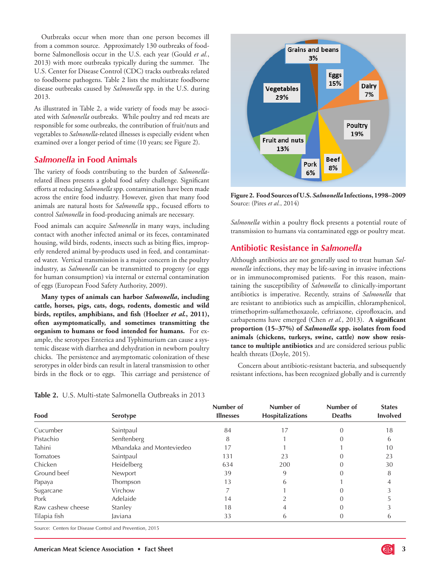Outbreaks occur when more than one person becomes ill from a common source. Approximately 130 outbreaks of foodborne Salmonellosis occur in the U.S. each year (Gould *et al.*, 2013) with more outbreaks typically during the summer. The U.S. Center for Disease Control (CDC) tracks outbreaks related to foodborne pathogens. Table 2 lists the multistate foodborne disease outbreaks caused by *Salmonella* spp. in the U.S. during 2013.

As illustrated in Table 2, a wide variety of foods may be associated with *Salmonella* outbreaks. While poultry and red meats are responsible for some outbreaks, the contribution of fruit/nuts and vegetables to *Salmonella*-related illnesses is especially evident when examined over a longer period of time (10 years; see Figure 2).

## *Salmonella* **in Food Animals**

The variety of foods contributing to the burden of *Salmonella*related illness presents a global food safety challenge. Significant efforts at reducing *Salmonella* spp. contamination have been made across the entire food industry. However, given that many food animals are natural hosts for *Salmonella* spp., focused efforts to control *Salmonella* in food-producing animals are necessary.

Food animals can acquire *Salmonella* in many ways, including contact with another infected animal or its feces, contaminated housing, wild birds, rodents, insects such as biting flies, improperly rendered animal by-products used in feed, and contaminated water. Vertical transmission is a major concern in the poultry industry, as *Salmonella* can be transmitted to progeny (or eggs for human consumption) via internal or external contamination of eggs (European Food Safety Authority, 2009).

**Many types of animals can harbor** *Salmonella***, including cattle, horses, pigs, cats, dogs, rodents, domestic and wild birds, reptiles, amphibians, and fish (Hoelzer** *et al.***, 2011), often asymptomatically, and sometimes transmitting the organism to humans or food intended for humans.** For example, the serotypes Enterica and Typhimurium can cause a systemic disease with diarrhea and dehydration in newborn poultry chicks. The persistence and asymptomatic colonization of these serotypes in older birds can result in lateral transmission to other birds in the flock or to eggs. This carriage and persistence of

**Table 2.** U.S. Multi-state Salmonella Outbreaks in 2013



**Figure 2. Food Sources of U.S.** *Salmonella* **Infections, 1998–2009**  Source: (Pires *et al.*, 2014)

*Salmonella* within a poultry flock presents a potential route of transmission to humans via contaminated eggs or poultry meat.

## **Antibiotic Resistance in** *Salmonella*

Although antibiotics are not generally used to treat human *Salmonella* infections, they may be life-saving in invasive infections or in immunocompromised patients. For this reason, maintaining the susceptibility of *Salmonella* to clinically-important antibiotics is imperative. Recently, strains of *Salmonella* that are resistant to antibiotics such as ampicillin, chloramphenicol, trimethoprim-sulfamethoxazole, ceftriaxone, ciprofloxacin, and carbapenems have emerged (Chen *et al.*, 2013). **A significant proportion (15–37%) of** *Salmonella* **spp. isolates from food animals (chickens, turkeys, swine, cattle) now show resistance to multiple antibiotics** and are considered serious public health threats (Doyle, 2015).

Concern about antibiotic-resistant bacteria, and subsequently resistant infections, has been recognized globally and is currently

| Food              | <b>Serotype</b>          | Number of<br><b>Illnesses</b> | Number of<br><b>Hospitalizations</b> | Number of<br><b>Deaths</b> | <b>States</b><br><b>Involved</b> |
|-------------------|--------------------------|-------------------------------|--------------------------------------|----------------------------|----------------------------------|
| Cucumber          | Saintpaul                | 84                            | 17                                   |                            | 18                               |
| Pistachio         | Senftenberg              | 8                             |                                      |                            | 6                                |
| Tahini            | Mbandaka and Monteviedeo | 17                            |                                      |                            | 10                               |
| Tomatoes          | Saintpaul                | 131                           | 23                                   |                            | 23                               |
| Chicken           | Heidelberg               | 634                           | 200                                  |                            | 30                               |
| Ground beef       | Newport                  | 39                            | 9                                    |                            | 8                                |
| Papaya            | Thompson                 | 13                            | 6                                    |                            |                                  |
| Sugarcane         | Virchow                  |                               |                                      |                            |                                  |
| Pork              | Adelaide                 | 14                            |                                      |                            |                                  |
| Raw cashew cheese | Stanley                  | 18                            | 4                                    |                            |                                  |
| Tilapia fish      | Javiana                  | 33                            | 6                                    |                            | b                                |

Source: Centers for Disease Control and Prevention, 2015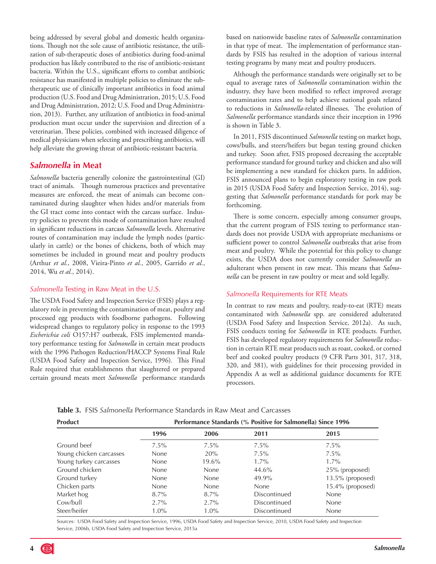being addressed by several global and domestic health organizations. Though not the sole cause of antibiotic resistance, the utilization of sub-therapeutic doses of antibiotics during food-animal production has likely contributed to the rise of antibiotic-resistant bacteria. Within the U.S., significant efforts to combat antibiotic resistance has manifested in multiple policies to eliminate the subtherapeutic use of clinically important antibiotics in food animal production (U.S. Food and Drug Administration, 2015; U.S. Food and Drug Administration, 2012; U.S. Food and Drug Administration, 2013). Further, any utilization of antibiotics in food-animal production must occur under the supervision and direction of a veterinarian. These policies, combined with increased diligence of medical physicians when selecting and prescribing antibiotics, will help alleviate the growing threat of antibiotic-resistant bacteria.

## *Salmonella* **in Meat**

*Salmonella* bacteria generally colonize the gastrointestinal (GI) tract of animals. Though numerous practices and preventative measures are enforced, the meat of animals can become contaminated during slaughter when hides and/or materials from the GI tract come into contact with the carcass surface. Industry policies to prevent this mode of contamination have resulted in significant reductions in carcass *Salmonella* levels. Alternative routes of contamination may include the lymph nodes (particularly in cattle) or the bones of chickens, both of which may sometimes be included in ground meat and poultry products (Arthur *et al.*, 2008, Vieira-Pinto *et al.*, 2005, Garrido *et al.*, 2014, Wu *et al.*, 2014).

## *Salmonella* Testing in Raw Meat in the U.S.

The USDA Food Safety and Inspection Service (FSIS) plays a regulatory role in preventing the contamination of meat, poultry and processed egg products with foodborne pathogens. Following widespread changes to regulatory policy in response to the 1993 *Escherichia coli* O157:H7 outbreak, FSIS implemented mandatory performance testing for *Salmonella* in certain meat products with the 1996 Pathogen Reduction/HACCP Systems Final Rule (USDA Food Safety and Inspection Service, 1996). This Final Rule required that establishments that slaughtered or prepared certain ground meats meet *Salmonella* performance standards based on nationwide baseline rates of *Salmonella* contamination in that type of meat. The implementation of performance standards by FSIS has resulted in the adoption of various internal testing programs by many meat and poultry producers.

Although the performance standards were originally set to be equal to average rates of *Salmonella* contamination within the industry, they have been modified to reflect improved average contamination rates and to help achieve national goals related to reductions in *Salmonella*-related illnesses. The evolution of *Salmonella* performance standards since their inception in 1996 is shown in Table 3.

In 2011, FSIS discontinued *Salmonella* testing on market hogs, cows/bulls, and steers/heifers but began testing ground chicken and turkey. Soon after, FSIS proposed decreasing the acceptable performance standard for ground turkey and chicken and also will be implementing a new standard for chicken parts. In addition, FSIS announced plans to begin exploratory testing in raw pork in 2015 (USDA Food Safety and Inspection Service, 2014), suggesting that *Salmonella* performance standards for pork may be forthcoming.

There is some concern, especially among consumer groups, that the current program of FSIS testing to performance standards does not provide USDA with appropriate mechanisms or sufficient power to control *Salmonella* outbreaks that arise from meat and poultry. While the potential for this policy to change exists, the USDA does not currently consider *Salmonella* an adulterant when present in raw meat. This means that *Salmonella* can be present in raw poultry or meat and sold legally.

## *Salmonella* Requirements for RTE Meats

In contrast to raw meats and poultry, ready-to-eat (RTE) meats contaminated with *Salmonella* spp. are considered adulterated (USDA Food Safety and Inspection Service, 2012a). As such, FSIS conducts testing for *Salmonella* in RTE products. Further, FSIS has developed regulatory requirements for *Salmonella* reduction in certain RTE meat products such as roast, cooked, or corned beef and cooked poultry products (9 CFR Parts 301, 317, 318, 320, and 381), with guidelines for their processing provided in Appendix A as well as additional guidance documents for RTE processors.

|  |  |  | Table 3. FSIS Salmonella Performance Standards in Raw Meat and Carcasses |  |  |  |  |
|--|--|--|--------------------------------------------------------------------------|--|--|--|--|
|--|--|--|--------------------------------------------------------------------------|--|--|--|--|

| <b>Product</b>          | Performance Standards (% Positive for Salmonella) Since 1996 |             |              |                     |  |
|-------------------------|--------------------------------------------------------------|-------------|--------------|---------------------|--|
|                         | 1996                                                         | 2006        | 2011         | 2015                |  |
| Ground beef             | $7.5\%$                                                      | $7.5\%$     | $7.5\%$      | $7.5\%$             |  |
| Young chicken carcasses | None                                                         | 20%         | $7.5\%$      | $7.5\%$             |  |
| Young turkey carcasses  | None                                                         | 19.6%       | $1.7\%$      | $1.7\%$             |  |
| Ground chicken          | None                                                         | <b>None</b> | 44.6%        | 25% (proposed)      |  |
| Ground turkey           | None                                                         | <b>None</b> | 49.9%        | 13.5% (proposed)    |  |
| Chicken parts           | None                                                         | None        | None         | $15.4\%$ (proposed) |  |
| Market hog              | $8.7\%$                                                      | $8.7\%$     | Discontinued | <b>None</b>         |  |
| Cow/bull                | $2.7\%$                                                      | $2.7\%$     | Discontinued | <b>None</b>         |  |
| Steer/heifer            | $1.0\%$                                                      | $1.0\%$     | Discontinued | <b>None</b>         |  |

Sources: USDA Food Safety and Inspection Service, 1996, USDA Food Safety and Inspection Service, 2010, USDA Food Safety and Inspection Service, 2006b, USDA Food Safety and Inspection Service, 2015a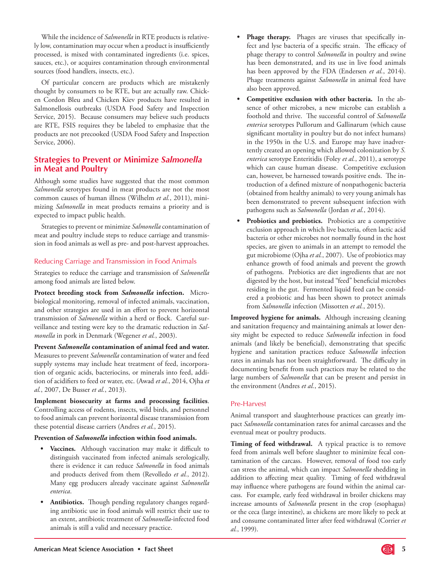While the incidence of *Salmonella* in RTE products is relatively low, contamination may occur when a product is insufficiently processed, is mixed with contaminated ingredients (i.e. spices, sauces, etc.), or acquires contamination through environmental sources (food handlers, insects, etc.).

Of particular concern are products which are mistakenly thought by consumers to be RTE, but are actually raw. Chicken Cordon Bleu and Chicken Kiev products have resulted in Salmonellosis outbreaks (USDA Food Safety and Inspection Service, 2015). Because consumers may believe such products are RTE, FSIS requires they be labeled to emphasize that the products are not precooked (USDA Food Safety and Inspection Service, 2006).

# **Strategies to Prevent or Minimize** *Salmonella* **in Meat and Poultry**

Although some studies have suggested that the most common *Salmonella* serotypes found in meat products are not the most common causes of human illness (Wilhelm *et al.*, 2011), minimizing *Salmonella* in meat products remains a priority and is expected to impact public health.

Strategies to prevent or minimize *Salmonella* contamination of meat and poultry include steps to reduce carriage and transmission in food animals as well as pre- and post-harvest approaches.

#### Reducing Carriage and Transmission in Food Animals

Strategies to reduce the carriage and transmission of *Salmonella*  among food animals are listed below.

**Protect breeding stock from** *Salmonella* **infection.** Microbiological monitoring, removal of infected animals, vaccination, and other strategies are used in an effort to prevent horizontal transmission of *Salmonella* within a herd or flock. Careful surveillance and testing were key to the dramatic reduction in *Salmonella* in pork in Denmark (Wegener *et al.*, 2003).

**Prevent** *Salmonella* **contamination of animal feed and water.**  Measures to prevent *Salmonella* contamination of water and feed supply systems may include heat treatment of feed, incorporation of organic acids, bacteriocins, or minerals into feed, addition of acidifiers to feed or water, etc. (Awad *et al.*, 2014, Ojha *et al.*, 2007, De Busser *et al.*, 2013).

**Implement biosecurity at farms and processing facilities**. Controlling access of rodents, insects, wild birds, and personnel to food animals can prevent horizontal disease transmission from these potential disease carriers (Andres *et al.*, 2015).

#### **Prevention of** *Salmonella* **infection within food animals.**

- **• Vaccines.** Although vaccination may make it difficult to distinguish vaccinated from infected animals serologically, there is evidence it can reduce *Salmonella* in food animals and products derived from them (Revolledo *et al.*, 2012). Many egg producers already vaccinate against *Salmonella enterica*.
- Antibiotics. Though pending regulatory changes regarding antibiotic use in food animals will restrict their use to an extent, antibiotic treatment of *Salmonella*-infected food animals is still a valid and necessary practice.
- **Phage therapy.** Phages are viruses that specifically infect and lyse bacteria of a specific strain. The efficacy of phage therapy to control *Salmonella* in poultry and swine has been demonstrated, and its use in live food animals has been approved by the FDA (Endersen *et al.*, 2014). Phage treatments against *Salmonella* in animal feed have also been approved.
- **Competitive exclusion with other bacteria.** In the absence of other microbes, a new microbe can establish a foothold and thrive. The successful control of *Salmonella enterica* serotypes Pullorum and Gallinarum (which cause significant mortality in poultry but do not infect humans) in the 1950s in the U.S. and Europe may have inadvertently created an opening which allowed colonization by *S. enterica* serotype Enteritidis (Foley *et al.*, 2011), a serotype which can cause human disease. Competitive exclusion can, however, be harnessed towards positive ends. The introduction of a defined mixture of nonpathogenic bacteria (obtained from healthy animals) to very young animals has been demonstrated to prevent subsequent infection with pathogens such as *Salmonella* (Jordan *et al.*, 2014).
- Probiotics and prebiotics. Probiotics are a competitive exclusion approach in which live bacteria, often lactic acid bacteria or other microbes not normally found in the host species, are given to animals in an attempt to remodel the gut microbiome (Ojha *et al.*, 2007). Use of probiotics may enhance growth of food animals and prevent the growth of pathogens. Prebiotics are diet ingredients that are not digested by the host, but instead "feed" beneficial microbes residing in the gut. Fermented liquid feed can be considered a probiotic and has been shown to protect animals from *Salmonella* infection (Missotten *et al.*, 2015).

**Improved hygiene for animals.** Although increasing cleaning and sanitation frequency and maintaining animals at lower density might be expected to reduce *Salmonella* infection in food animals (and likely be beneficial), demonstrating that specific hygiene and sanitation practices reduce *Salmonella* infection rates in animals has not been straightforward. The difficulty in documenting benefit from such practices may be related to the large numbers of *Salmonella* that can be present and persist in the environment (Andres *et al.*, 2015).

#### Pre-Harvest

Animal transport and slaughterhouse practices can greatly impact *Salmonella* contamination rates for animal carcasses and the eventual meat or poultry products.

Timing of feed withdrawal. A typical practice is to remove feed from animals well before slaughter to minimize fecal contamination of the carcass. However, removal of food too early can stress the animal, which can impact *Salmonella* shedding in addition to affecting meat quality. Timing of feed withdrawal may influence where pathogens are found within the animal carcass. For example, early feed withdrawal in broiler chickens may increase amounts of *Salmonella* present in the crop (esophagus) or the ceca (large intestine), as chickens are more likely to peck at and consume contaminated litter after feed withdrawal (Corrier *et al.*, 1999).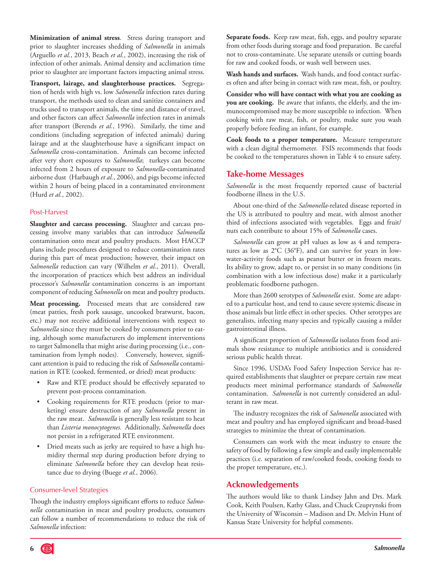**Minimization of animal stress**. Stress during transport and prior to slaughter increases shedding of *Salmonella* in animals (Arguello *et al.*, 2013, Beach *et al.*, 2002), increasing the risk of infection of other animals. Animal density and acclimation time prior to slaughter are important factors impacting animal stress.

**Transport, lairage, and slaughterhouse practices.** Segregation of herds with high vs. low *Salmonella* infection rates during transport, the methods used to clean and sanitize containers and trucks used to transport animals, the time and distance of travel, and other factors can affect *Salmonella* infection rates in animals after transport (Berends *et al.*, 1996). Similarly, the time and conditions (including segregation of infected animals) during lairage and at the slaughterhouse have a significant impact on *Salmonella* cross-contamination. Animals can become infected after very short exposures to *Salmonella*; turkeys can become infected from 2 hours of exposure to *Salmonella*-contaminated airborne dust (Harbaugh *et al.*, 2006), and pigs become infected within 2 hours of being placed in a contaminated environment (Hurd *et al.*, 2002).

#### Post-Harvest

**Slaughter and carcass processing.** Slaughter and carcass processing involve many variables that can introduce *Salmonella*  contamination onto meat and poultry products. Most HACCP plans include procedures designed to reduce contamination rates during this part of meat production; however, their impact on *Salmonella* reduction can vary (Wilhelm *et al.*, 2011). Overall, the incorporation of practices which best address an individual processor's *Salmonella* contamination concerns is an important component of reducing *Salmonella* on meat and poultry products.

**Meat processing.** Processed meats that are considered raw (meat patties, fresh pork sausage, uncooked bratwurst, bacon, etc.) may not receive additional interventions with respect to *Salmonella* since they must be cooked by consumers prior to eating, although some manufacturers do implement interventions to target Salmonella that might arise during processing (i.e., contamination from lymph nodes). Conversely, however, significant attention is paid to reducing the risk of *Salmonella* contamination in RTE (cooked, fermented, or dried) meat products:

- Raw and RTE product should be effectively separated to prevent post-process contamination.
- • Cooking requirements for RTE products (prior to marketing) ensure destruction of any *Salmonella* present in the raw meat. *Salmonella* is generally less resistant to heat than *Listeria monocytogenes.* Additionally, *Salmonella* does not persist in a refrigerated RTE environment.
- Dried meats such as jerky are required to have a high humidity thermal step during production before drying to eliminate *Salmonella* before they can develop heat resistance due to drying (Buege *et al.*, 2006).

#### Consumer-level Strategies

Though the industry employs significant efforts to reduce *Salmonella* contamination in meat and poultry products, consumers can follow a number of recommendations to reduce the risk of *Salmonella* infection:

**Separate foods.** Keep raw meat, fish, eggs, and poultry separate from other foods during storage and food preparation. Be careful not to cross-contaminate. Use separate utensils or cutting boards for raw and cooked foods, or wash well between uses.

**Wash hands and surfaces.** Wash hands, and food contact surfaces often and after being in contact with raw meat, fish, or poultry.

**Consider who will have contact with what you are cooking as you are cooking.** Be aware that infants, the elderly, and the immunocompromised may be more susceptible to infection. When cooking with raw meat, fish, or poultry, make sure you wash properly before feeding an infant, for example.

**Cook foods to a proper temperature.** Measure temperature with a clean digital thermometer. FSIS recommends that foods be cooked to the temperatures shown in Table 4 to ensure safety.

#### **Take-home Messages**

*Salmonella* is the most frequently reported cause of bacterial foodborne illness in the U.S.

About one-third of the *Salmonella*-related disease reported in the US is attributed to poultry and meat, with almost another third of infections associated with vegetables. Eggs and fruit/ nuts each contribute to about 15% of *Salmonella* cases.

*Salmonella* can grow at pH values as low as 4 and temperatures as low as 2°C (36°F), and can survive for years in lowwater-activity foods such as peanut butter or in frozen meats. Its ability to grow, adapt to, or persist in so many conditions (in combination with a low infectious dose) make it a particularly problematic foodborne pathogen.

More than 2600 serotypes of *Salmonella* exist. Some are adapted to a particular host, and tend to cause severe systemic disease in those animals but little effect in other species. Other serotypes are generalists, infecting many species and typically causing a milder gastrointestinal illness.

A significant proportion of *Salmonella* isolates from food animals show resistance to multiple antibiotics and is considered serious public health threat.

Since 1996, USDA's Food Safety Inspection Service has required establishments that slaughter or prepare certain raw meat products meet minimal performance standards of *Salmonella* contamination. *Salmonella* is not currently considered an adulterant in raw meat.

The industry recognizes the risk of *Salmonella* associated with meat and poultry and has employed significant and broad-based strategies to minimize the threat of contamination.

Consumers can work with the meat industry to ensure the safety of food by following a few simple and easily implementable practices (i.e. separation of raw/cooked foods, cooking foods to the proper temperature, etc.).

### **Acknowledgements**

The authors would like to thank Lindsey Jahn and Drs. Mark Cook, Keith Poulsen, Kathy Glass, and Chuck Czuprynski from the University of Wisconsin – Madison and Dr. Melvin Hunt of Kansas State University for helpful comments.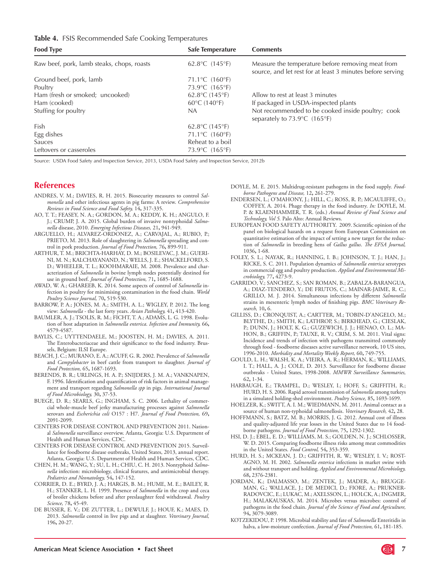#### **Table 4.** FSIS Recommended Safe Cooking Temperatures

| <b>Food Type</b>                           | Safe Temperature                    | <b>Comments</b>                                                                                                 |
|--------------------------------------------|-------------------------------------|-----------------------------------------------------------------------------------------------------------------|
| Raw beef, pork, lamb steaks, chops, roasts | 62.8°C $(145°F)$                    | Measure the temperature before removing meat from<br>source, and let rest for at least 3 minutes before serving |
| Ground beef, pork, lamb                    | 71.1 °C $(160$ °F)                  |                                                                                                                 |
| Poultry                                    | 73.9°C (165°F)                      |                                                                                                                 |
| Ham (fresh or smoked; uncooked)            | $62.8^{\circ}$ C (145 $^{\circ}$ F) | Allow to rest at least 3 minutes                                                                                |
| Ham (cooked)                               | $60^{\circ}$ C (140 $^{\circ}$ F)   | If packaged in USDA-inspected plants                                                                            |
| Stuffing for poultry                       | NA                                  | Not recommended to be cooked inside poultry; cook<br>separately to 73.9°C (165°F)                               |
| Fish                                       | $62.8^{\circ}$ C (145 $^{\circ}$ F) |                                                                                                                 |
| Egg dishes                                 | 71.1°C (160°F)                      |                                                                                                                 |
| Sauces                                     | Reheat to a boil                    |                                                                                                                 |
| Leftovers or casseroles                    | 73.9°C (165°F)                      |                                                                                                                 |

Source: USDA Food Safety and Inspection Service, 2013, USDA Food Safety and Inspection Service, 2012b

## **References**

- ANDRES, V. M.; DAVIES, R. H. 2015. Biosecurity measures to control *Salmonella* and other infectious agents in pig farms: A review. *Comprehensive Reviews in Food Science and Food Safety,* 14**,** 317-335.
- AO, T. T.; FEASEY, N. A.; GORDON, M. A.; KEDDY, K. H.; ANGULO, F. J.; CRUMP, J. A. 2015. Global burden of invasive nontyphoidal *Salmonella* disease, 2010. *Emerging Infectious Diseases,* 21**,** 941-949.
- ARGUELLO, H.; ALVAREZ-ORDONEZ, A.; CARVAJAL, A.; RUBIO, P.; PRIETO, M. 2013. Role of slaughtering in *Salmonella* spreading and control in pork production. *Journal of Food Protection,* 76**,** 899-911.
- ARTHUR, T. M.; BRICHTA-HARHAY, D. M.; BOSILEVAC, J. M.; GUERI-NI, M. N.; KALCHAYANAND, N.; WELLS, J. E.; SHACKELFORD, S. D.; WHEELER, T. L.; KOOHMARAIE, M. 2008. Prevalence and characterization of *Salmonella* in bovine lymph nodes potentially destined for use in ground beef. *Journal of Food Protection,* 71**,** 1685-1688.
- AWAD, W. A.; GHAREEB, K. 2014. Some aspects of control of *Salmonella* infection in poultry for minimising contamination in the food chain. *World Poultry Science Journal,* 70**,** 519-530.
- BARROW, P. A.; JONES, M. A.; SMITH, A. L.; WIGLEY, P. 2012. The long view: *Salmonella* - the last forty years. *Avian Pathology,* 41**,** 413-420.
- BAUMLER, A. J.; TSOLIS, R. M.; FICHT, T. A.; ADAMS, L. G. 1998. Evolution of host adaptation in *Salmonella enterica*. *Infection and Immunity,* 66**,** 4579-4587.
- BAYLIS, C.; UYTTENDAELE, M.; JOOSTEN, H. M.; DAVIES, A. 2011. The Enterobacteriaceae and their significance to the food industry. Brussels, Belgium: ILSI Europe.
- BEACH, J. C.; MURANO, E. A.; ACUFF, G. R. 2002. Prevalence of *Salmonella* and *Campylobacter* in beef cattle from transport to slaughter. *Journal of Food Protection,* 65**,** 1687-1693.
- BERENDS, B. R.; URLINGS, H. A. P.; SNIJDERS, J. M. A.; VANKNAPEN, F. 1996. Identification and quantification of risk factors in animal management and transport regarding *Salmonella spp* in pigs. *International Journal of Food Microbiology,* 30**,** 37-53.
- BUEGE, D. R.; SEARLS, G.; INGHAM, S. C. 2006. Lethality of commercial whole-muscle beef jerky manufacturing processes against *Salmonella* serovars and *Escherichia coli* O157 : H7. *Journal of Food Protection,* 69**,** 2091-2099.
- CENTERS FOR DISEASE CONTROL AND PREVENTION 2011. National *Salmonella* surveillance overview. Atlanta, Georgia: U.S. Department of Health and Human Services, CDC.
- CENTERS FOR DISEASE CONTROL AND PREVENTION 2015. Surveillance for foodborne disease outbreaks, United States, 2013, annual report. Atlanta, Georgia: U.S. Department of Health and Human Services, CDC.
- CHEN, H. M.; WANG, Y.; SU, L. H.; CHIU, C. H. 2013. Nontyphoid *Salmonella* infection: microbiology, clinical features, and antimicrobial therapy. *Pediatrics and Neonatology,* 54**,** 147-152.
- CORRIER, D. E.; BYRD, J. A.; HARGIS, B. M.; HUME, M. E.; BAILEY, R. H.; STANKER, L. H. 1999. Presence of *Salmonella* in the crop and ceca of broiler chickens before and after preslaughter feed withdrawal. *Poultry Science,* 78**,** 45-49.
- DE BUSSER, E. V.; DE ZUTTER, L.; DEWULF, J.; HOUF, K.; MAES, D. 2013. *Salmonella* control in live pigs and at slaughter. *Veterinary Journal,* 196**,** 20-27.

DOYLE, M. E. 2015. Multidrug-resistant pathogens in the food supply. *Foodborne Pathogens and Disease,* 12**,** 261-279.

- ENDERSEN, L.; O'MAHONY, J.; HILL, C.; ROSS, R. P.; MCAULIFFE, O.; COFFEY, A. 2014. Phage therapy in the food industry. *In:* DOYLE, M. P. & KLAENHAMMER, T. R. (eds.) *Annual Review of Food Science and Technology, Vol 5.* Palo Alto: Annual Reviews.
- EUROPEAN FOOD SAFETY AUTHORITY. 2009. Scientific opinion of the panel on biological hazards on a request from European Commission on quantitative estimation of the impact of setting a new target for the reduction of *Salmonella* in breeding hens of *Gallus gallus*. *The EFSA Journal,* 1036**,** 1-68.
- FOLEY, S. L.; NAYAK, R.; HANNING, I. B.; JOHNSON, T. J.; HAN, J.; RICKE, S. C. 2011. Population dynamics of *Salmonella enterica* serotypes in commercial egg and poultry production. *Applied and Environmental Microbiology,* 77**,** 4273-9.
- GARRIDO, V.; SANCHEZ, S.; SAN ROMAN, B.; ZABALZA-BARANGUA, A.; DIAZ-TENDERO, Y.; DE FRUTOS, C.; MAINAR-JAIME, R. C.; GRILLO, M. J. 2014. Simultaneous infections by different *Salmonella*  strains in mesenteric lymph nodes of finishing pigs. *BMC Veterinary Research,* 10**,** 6.
- GILLISS, D.; CRONQUIST, A.; CARTTER, M.; TOBIN-D'ANGELO, M.; BLYTHE, D.; SMITH, K.; LATHROP, S.; BIRKHEAD, G.; CIESLAK, P.; DUNN, J.; HOLT, K. G.; GUZEWICH, J. J.; HENAO, O. L.; MA-HON, B.; GRIFFIN, P.; TAUXE, R. V.; CRIM, S. M. 2011. Vital signs: Incidence and trends of infection with pathogens transmitted commonly through food - foodborne diseases active surveillance network, 10 US sites, 1996-2010. *Morbidity and Mortality Weekly Report,* 60**,** 749-755.
- GOULD, L. H.; WALSH, K. A.; VIEIRA, A. R.; HERMAN, K.; WILLIAMS, I. T.; HALL, A. J.; COLE, D. 2013. Surveillance for foodborne disease outbreaks - United States, 1998-2008. *MMWR Surveillance Summaries,* 62**,** 1-34.
- HARBAUGH, E.; TRAMPEL, D.; WESLEY, I.; HOFF, S.; GRIFFITH, R.; HURD, H. S. 2006. Rapid aerosol transmission of *Salmonella* among turkeys in a simulated holding-shed environment. *Poultry Science,* 85**,** 1693-1699.
- HOELZER, K.; SWITT, A. I. M.; WIEDMANN, M. 2011. Animal contact as a source of human non-typhoidal salmonellosis. *Veterinary Research,* 42**,** 28.
- HOFFMANN, S.; BATZ, M. B.; MORRIS, J. G. 2012. Annual cost of illness and quality-adjusted life year losses in the United States due to 14 foodborne pathogens. *Journal of Food Protection,* 75**,** 1292-1302.
- HSI, D. J.; EBEL, E. D.; WILLIAMS, M. S.; GOLDEN, N. J.; SCHLOSSER, W. D. 2015. Comparing foodborne illness risks among meat commodities in the United States. *Food Control,* 54**,** 353-359.
- HURD, H. S.; MCKEAN, J. D.; GRIFFITH, R. W.; WESLEY, I. V.; ROST-AGNO, M. H. 2002. *Salmonella enterica* infections in market swine with and without transport and holding. *Applied and Environmental Microbiology,* 68**,** 2376-2381.
- JORDAN, K.; DALMASSO, M.; ZENTEK, J.; MADER, A.; BRUGGE-MAN, G.; WALLACE, J.; DE MEDICI, D.; FIORE, A.; PRUKNER-RADOVCIC, E.; LUKAC, M.; AXELSSON, L.; HOLCK, A.; INGMER, H.; MALAKAUSKAS, M. 2014. Microbes versus microbes: control of pathogens in the food chain. *Journal of the Science of Food and Agriculture,* 94**,** 3079-3089.
- KOTZEKIDOU, P. 1998. Microbial stability and fate of *Salmonella* Enteritidis in halva, a low-moisture confection. *Journal of Food Protection,* 61**,** 181-185.